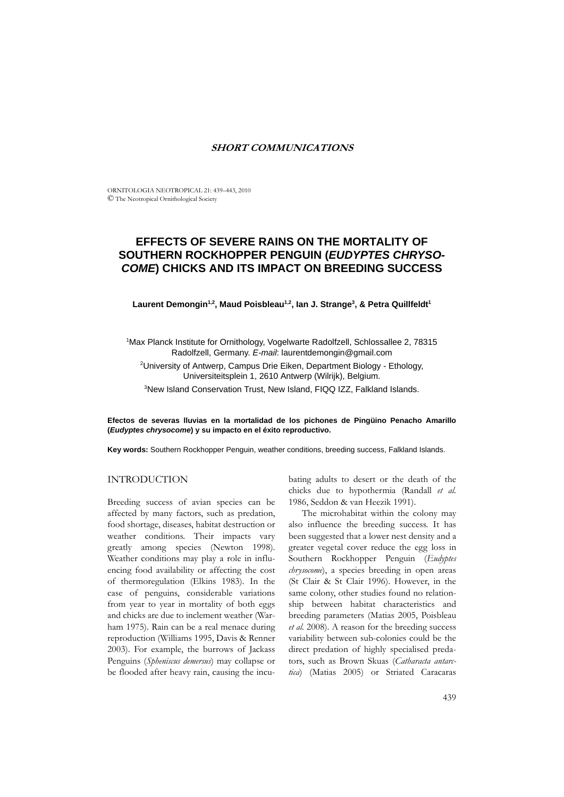# **SHORT COMMUNICATIONS**

ORNITOLOGIA NEOTROPICAL 21: 439–443, 2010 © The Neotropical Ornithological Society

# **EFFECTS OF SEVERE RAINS ON THE MORTALITY OF SOUTHERN ROCKHOPPER PENGUIN (***EUDYPTES CHRYSO-COME***) CHICKS AND ITS IMPACT ON BREEDING SUCCESS**

Laurent Demongin<sup>1,2</sup>, Maud Poisbleau<sup>1,2</sup>, Ian J. Strange<sup>3</sup>, & Petra Quillfeldt<sup>1</sup>

<sup>1</sup>Max Planck Institute for Ornithology, Vogelwarte Radolfzell, Schlossallee 2, 78315 Radolfzell, Germany. *E-mail*: laurentdemongin@gmail.com

<sup>2</sup>University of Antwerp, Campus Drie Eiken, Department Biology - Ethology, Universiteitsplein 1, 2610 Antwerp (Wilrijk), Belgium.

3 New Island Conservation Trust, New Island, FIQQ IZZ, Falkland Islands.

**Efectos de severas lluvias en la mortalidad de los pichones de Pingüino Penacho Amarillo (***Eudyptes chrysocome***) y su impacto en el éxito reproductivo.**

**Key words:** Southern Rockhopper Penguin, weather conditions, breeding success, Falkland Islands.

## INTRODUCTION

Breeding success of avian species can be affected by many factors, such as predation, food shortage, diseases, habitat destruction or weather conditions. Their impacts vary greatly among species (Newton 1998). Weather conditions may play a role in influencing food availability or affecting the cost of thermoregulation (Elkins 1983). In the case of penguins, considerable variations from year to year in mortality of both eggs and chicks are due to inclement weather (Warham 1975). Rain can be a real menace during reproduction (Williams 1995, Davis & Renner 2003). For example, the burrows of Jackass Penguins (*Spheniscus demersus*) may collapse or be flooded after heavy rain, causing the incubating adults to desert or the death of the chicks due to hypothermia (Randall *et al.* 1986, Seddon & van Heezik 1991).

The microhabitat within the colony may also influence the breeding success. It has been suggested that a lower nest density and a greater vegetal cover reduce the egg loss in Southern Rockhopper Penguin (*Eudyptes chrysocome*), a species breeding in open areas (St Clair & St Clair 1996). However, in the same colony, other studies found no relationship between habitat characteristics and breeding parameters (Matias 2005, Poisbleau *et al.* 2008). A reason for the breeding success variability between sub-colonies could be the direct predation of highly specialised predators, such as Brown Skuas (*Catharacta antarctica*) (Matias 2005) or Striated Caracaras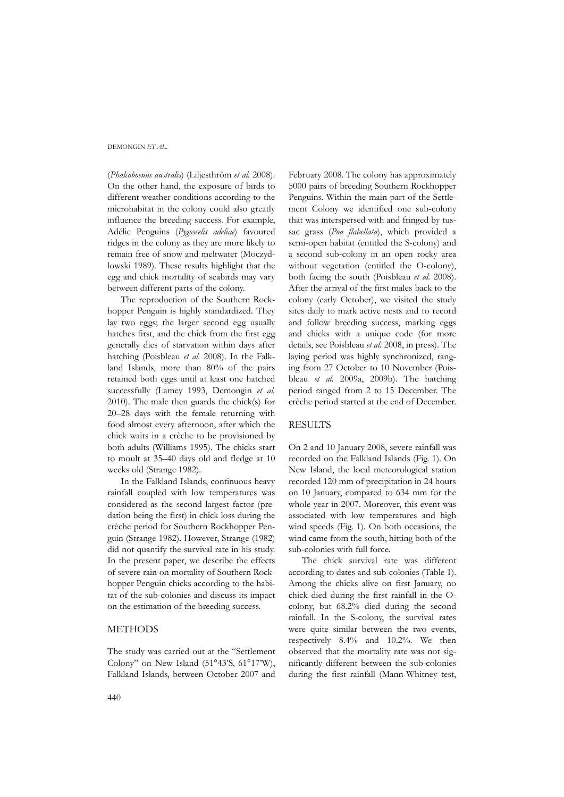### DEMONGIN *ET AL.*

(*Phalcoboenus australis*) (Liljesthröm *et al.* 2008). On the other hand, the exposure of birds to different weather conditions according to the microhabitat in the colony could also greatly influence the breeding success. For example, Adélie Penguins (*Pygoscelis adeliae*) favoured ridges in the colony as they are more likely to remain free of snow and meltwater (Moczydlowski 1989). These results highlight that the egg and chick mortality of seabirds may vary between different parts of the colony.

The reproduction of the Southern Rockhopper Penguin is highly standardized. They lay two eggs; the larger second egg usually hatches first, and the chick from the first egg generally dies of starvation within days after hatching (Poisbleau *et al.* 2008). In the Falkland Islands, more than 80% of the pairs retained both eggs until at least one hatched successfully (Lamey 1993, Demongin *et al.* 2010). The male then guards the chick(s) for 20–28 days with the female returning with food almost every afternoon, after which the chick waits in a crèche to be provisioned by both adults (Williams 1995). The chicks start to moult at 35–40 days old and fledge at 10 weeks old (Strange 1982).

In the Falkland Islands, continuous heavy rainfall coupled with low temperatures was considered as the second largest factor (predation being the first) in chick loss during the crèche period for Southern Rockhopper Penguin (Strange 1982). However, Strange (1982) did not quantify the survival rate in his study. In the present paper, we describe the effects of severe rain on mortality of Southern Rockhopper Penguin chicks according to the habitat of the sub-colonies and discuss its impact on the estimation of the breeding success.

## **METHODS**

The study was carried out at the "Settlement Colony" on New Island (51°43'S, 61°17'W), Falkland Islands, between October 2007 and

February 2008. The colony has approximately 5000 pairs of breeding Southern Rockhopper Penguins. Within the main part of the Settlement Colony we identified one sub-colony that was interspersed with and fringed by tussac grass (*Poa flabellata*), which provided a semi-open habitat (entitled the S-colony) and a second sub-colony in an open rocky area without vegetation (entitled the O-colony), both facing the south (Poisbleau *et al.* 2008). After the arrival of the first males back to the colony (early October), we visited the study sites daily to mark active nests and to record and follow breeding success, marking eggs and chicks with a unique code (for more details, see Poisbleau *et al.* 2008, in press). The laying period was highly synchronized, ranging from 27 October to 10 November (Poisbleau *et al.* 2009a, 2009b). The hatching period ranged from 2 to 15 December. The crèche period started at the end of December.

### **RESULTS**

On 2 and 10 January 2008, severe rainfall was recorded on the Falkland Islands (Fig. 1). On New Island, the local meteorological station recorded 120 mm of precipitation in 24 hours on 10 January, compared to 634 mm for the whole year in 2007. Moreover, this event was associated with low temperatures and high wind speeds (Fig. 1). On both occasions, the wind came from the south, hitting both of the sub-colonies with full force.

The chick survival rate was different according to dates and sub-colonies (Table 1). Among the chicks alive on first January, no chick died during the first rainfall in the Ocolony, but 68.2% died during the second rainfall. In the S-colony, the survival rates were quite similar between the two events, respectively 8.4% and 10.2%. We then observed that the mortality rate was not significantly different between the sub-colonies during the first rainfall (Mann-Whitney test,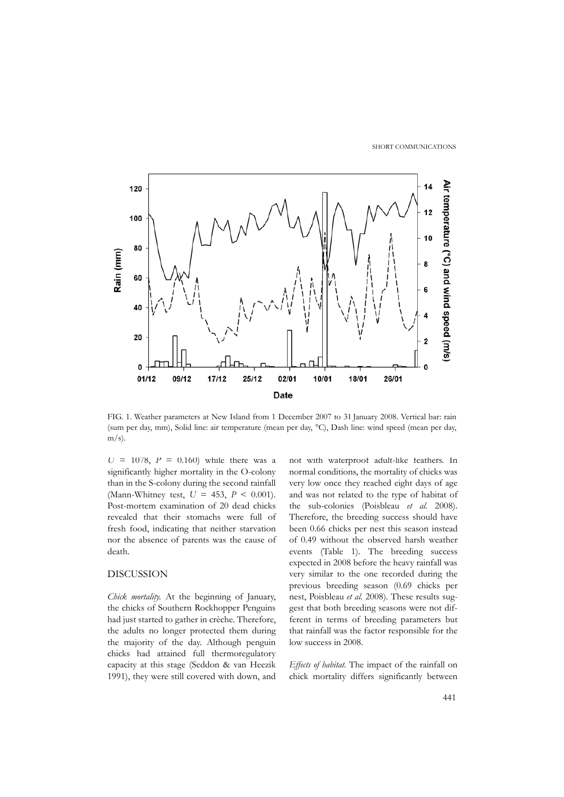SHORT COMMUNICATIONS



FIG. 1. Weather parameters at New Island from 1 December 2007 to 31 January 2008. Vertical bar: rain (sum per day, mm), Solid line: air temperature (mean per day, °C), Dash line: wind speed (mean per day,  $m/s$ ).

*U* = 1078, *P* = 0.160) while there was a significantly higher mortality in the O-colony than in the S-colony during the second rainfall (Mann-Whitney test, *U* = 453, *P* < 0.001). Post-mortem examination of 20 dead chicks revealed that their stomachs were full of fresh food, indicating that neither starvation nor the absence of parents was the cause of death.

# DISCUSSION

*Chick mortality.* At the beginning of January, the chicks of Southern Rockhopper Penguins had just started to gather in crèche. Therefore, the adults no longer protected them during the majority of the day. Although penguin chicks had attained full thermoregulatory capacity at this stage (Seddon & van Heezik 1991), they were still covered with down, and

not with waterproof adult-like feathers. In normal conditions, the mortality of chicks was very low once they reached eight days of age and was not related to the type of habitat of the sub-colonies (Poisbleau *et al.* 2008). Therefore, the breeding success should have been 0.66 chicks per nest this season instead of 0.49 without the observed harsh weather events (Table 1). The breeding success expected in 2008 before the heavy rainfall was very similar to the one recorded during the previous breeding season (0.69 chicks per nest, Poisbleau *et al.* 2008). These results suggest that both breeding seasons were not different in terms of breeding parameters but that rainfall was the factor responsible for the low success in 2008.

*Effects of habitat.* The impact of the rainfall on chick mortality differs significantly between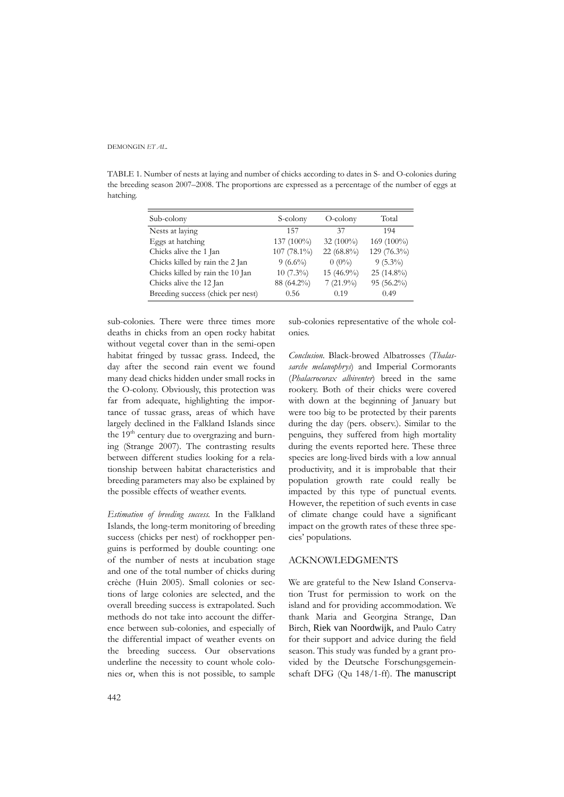DEMONGIN *ET AL.*

TABLE 1. Number of nests at laying and number of chicks according to dates in S- and O-colonies during the breeding season 2007–2008. The proportions are expressed as a percentage of the number of eggs at hatching.

| Sub-colony                        | S-colony    | $O$ -colony  | Total        |
|-----------------------------------|-------------|--------------|--------------|
| Nests at laying                   | 157         | 37           | 194          |
| Eggs at hatching                  | 137 (100%)  | 32 $(100\%)$ | $169(100\%)$ |
| Chicks alive the 1 Jan            | 107 (78.1%) | 22 (68.8%)   | 129 (76.3%)  |
| Chicks killed by rain the 2 Jan   | $9(6.6\%)$  | $0(0\%)$     | $9(5.3\%)$   |
| Chicks killed by rain the 10 Jan  | $10(7.3\%)$ | 15 (46.9%)   | $25(14.8\%)$ |
| Chicks alive the 12 Jan           | 88 (64.2%)  | $7(21.9\%)$  | $95(56.2\%)$ |
| Breeding success (chick per nest) | 0.56        | 0.19         | 0.49         |

sub-colonies. There were three times more deaths in chicks from an open rocky habitat without vegetal cover than in the semi-open habitat fringed by tussac grass. Indeed, the day after the second rain event we found many dead chicks hidden under small rocks in the O-colony. Obviously, this protection was far from adequate, highlighting the importance of tussac grass, areas of which have largely declined in the Falkland Islands since the  $19<sup>th</sup>$  century due to overgrazing and burning (Strange 2007). The contrasting results between different studies looking for a relationship between habitat characteristics and breeding parameters may also be explained by the possible effects of weather events.

*Estimation of breeding success.* In the Falkland Islands, the long-term monitoring of breeding success (chicks per nest) of rockhopper penguins is performed by double counting: one of the number of nests at incubation stage and one of the total number of chicks during crèche (Huin 2005). Small colonies or sections of large colonies are selected, and the overall breeding success is extrapolated. Such methods do not take into account the difference between sub-colonies, and especially of the differential impact of weather events on the breeding success. Our observations underline the necessity to count whole colonies or, when this is not possible, to sample

sub-colonies representative of the whole colonies.

*Conclusion.* Black-browed Albatrosses (*Thalassarche melanophrys*) and Imperial Cormorants (*Phalacrocorax albiventer*) breed in the same rookery. Both of their chicks were covered with down at the beginning of January but were too big to be protected by their parents during the day (pers. observ.). Similar to the penguins, they suffered from high mortality during the events reported here. These three species are long-lived birds with a low annual productivity, and it is improbable that their population growth rate could really be impacted by this type of punctual events. However, the repetition of such events in case of climate change could have a significant impact on the growth rates of these three species' populations.

#### ACKNOWLEDGMENTS

We are grateful to the New Island Conservation Trust for permission to work on the island and for providing accommodation. We thank Maria and Georgina Strange, Dan Birch, Riek van Noordwijk, and Paulo Catry for their support and advice during the field season. This study was funded by a grant provided by the Deutsche Forschungsgemeinschaft DFG (Qu 148/1-ff). The manuscript